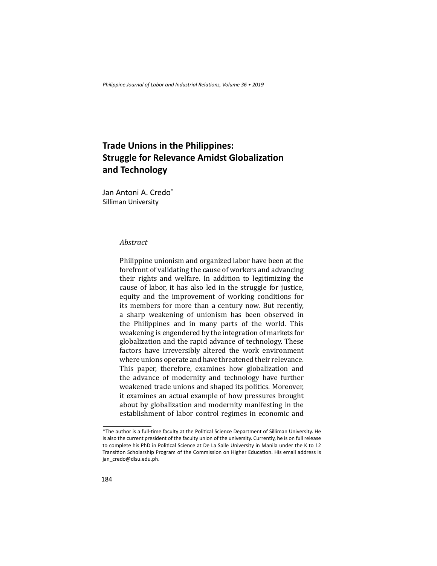*Philippine Journal of Labor and Industrial Relations, Volume 36 • 2019* 

## **Trade Unions in the Philippines: Struggle for Relevance Amidst Globalization and Technology**

Jan Antoni A. Credo\* Silliman University

## *Abstract*

Philippine unionism and organized labor have been at the forefront of validating the cause of workers and advancing their rights and welfare. In addition to legitimizing the cause of labor, it has also led in the struggle for justice, equity and the improvement of working conditions for its members for more than a century now. But recently, a sharp weakening of unionism has been observed in the Philippines and in many parts of the world. This weakening is engendered by the integration of markets for globalization and the rapid advance of technology. These factors have irreversibly altered the work environment where unions operate and have threatened their relevance. This paper, therefore, examines how globalization and the advance of modernity and technology have further weakened trade unions and shaped its politics. Moreover, it examines an actual example of how pressures brought about by globalization and modernity manifesting in the establishment of labor control regimes in economic and

<sup>\*</sup>The author is a full-time faculty at the Political Science Department of Silliman University. He is also the current president of the faculty union of the university. Currently, he is on full release to complete his PhD in Political Science at De La Salle University in Manila under the K to 12 Transition Scholarship Program of the Commission on Higher Education. His email address is jan\_credo@dlsu.edu.ph.